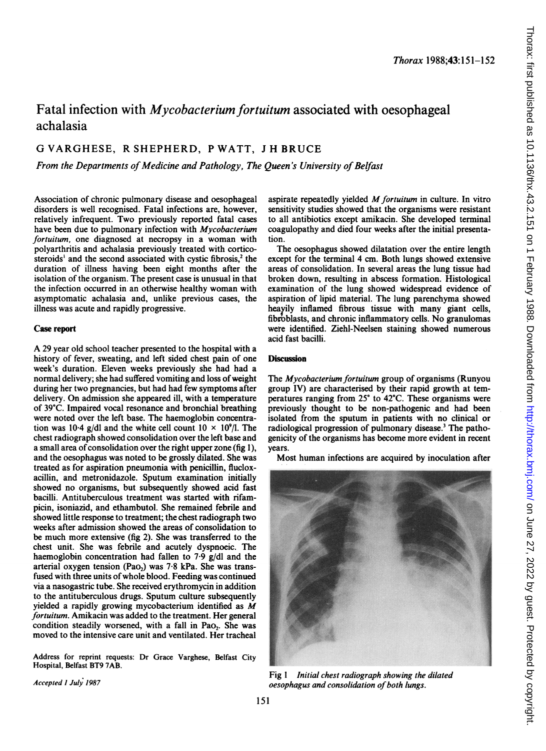# Fatal infection with *Mycobacterium fortuitum* associated with oesophageal achalasia

## G VARGHESE, R SHEPHERD, P WATT, <sup>J</sup> H BRUCE

From the Departments of Medicine and Pathology, The Queen's University of Belfast

Association of chronic pulmonary disease and oesophageal disorders is well recognised. Fatal infections are, however, relatively infrequent. Two previously reported fatal cases have been due to pulmonary infection with Mycobacterium fortuitum, one diagnosed at necropsy in a woman with polyarthritis and achalasia previously treated with corticosteroids<sup>1</sup> and the second associated with cystic fibrosis,<sup>2</sup> the duration of illness having been eight months after the isolation of the organism. The present case is unusual in that the infection occurred in an otherwise healthy woman with asymptomatic achalasia and, unlike previous cases, the illness was acute and rapidly progressive.

## Case report

A <sup>29</sup> year old school teacher presented to the hospital with <sup>a</sup> history of fever, sweating, and left sided chest pain of one week's duration. Eleven weeks previously she had had a normal delivery; she had suffered vomiting and loss of weight during her two pregnancies, but had had few symptoms after delivery. On admission she appeared ill, with a temperature of 39°C. Impaired vocal resonance and bronchial breathing were noted over the left base. The haemoglobin concentration was 10-4 g/dl and the white cell count  $10 \times 10^9$ /I. The chest radiograph showed consolidation over the left base and a small area of consolidation over the right upper zone (fig 1). and the oesophagus was noted to be grossly dilated. She was treated as for aspiration pneumonia with penicillin, flucloxacillin, and metronidazole. Sputum examination initially showed no organisms, but subsequently showed acid fast bacilli. Antituberculous treatment was started with rifampicin, isoniazid, and ethambutol. She remained febrile and showed little response to treatment; the chest radiograph two weeks after admission showed the areas of consolidation to be much more extensive (fig 2). She was transferred to the chest unit. She was febrile and acutely dyspnoeic. The haemoglobin concentration had fallen to 7-9 g/dl and the arterial oxygen tension (Pao<sub>2</sub>) was 7.8 kPa. She was transfused with three units of whole blood. Feeding was continued via a nasogastric tube. She received erythromycin in addition to the antituberculous drugs. Sputum culture subsequently yielded <sup>a</sup> rapidly growing mycobacterium identified as M fortuitum. Amikacin was added to the treatment. Her general condition steadily worsened, with a fall in Pao<sub>2</sub>. She was moved to the intensive care unit and ventilated. Her tracheal

Address for reprint requests: Dr Grace Varghese, Belfast City Hospital, Belfast BT9 7AB.

Accepted I July 1987

aspirate repeatedly yielded  $M$  fortuitum in culture. In vitro sensitivity studies showed that the organisms were resistant to all antibiotics except amikacin. She developed terminal coagulopathy and died four weeks after the initial presentation.

The oesophagus showed dilatation over the entire length except for the terminal 4 cm. Both lungs showed extensive areas of consolidation. In several areas the lung tissue had broken down, resulting in abscess formation. Histological examination of the lung showed widespread evidence of aspiration of lipid material. The lung parenchyma showed heavily inflamed fibrous tissue with many giant cells, fibroblasts, and chronic inflammatory cells. No granulomas were identified. Ziehl-Neelsen staining showed numerous acid fast bacilli.

### **Discussion**

The Mycobacterium fortuitum group of organisms (Runyou group IV) are characterised by their rapid growth at temperatures ranging from 25° to 42°C. These organisms were previously thought to be non-pathogenic and had been isolated from the sputum in patients with no clinical or radiological progression of pulmonary disease.<sup>3</sup> The pathogenicity of the organisms has become more evident in recent years.

Most human infections are acquired by inoculation after



Fig <sup>1</sup> Initial chest radiograph showing the dilated oesophagus and consolidation of both lungs.